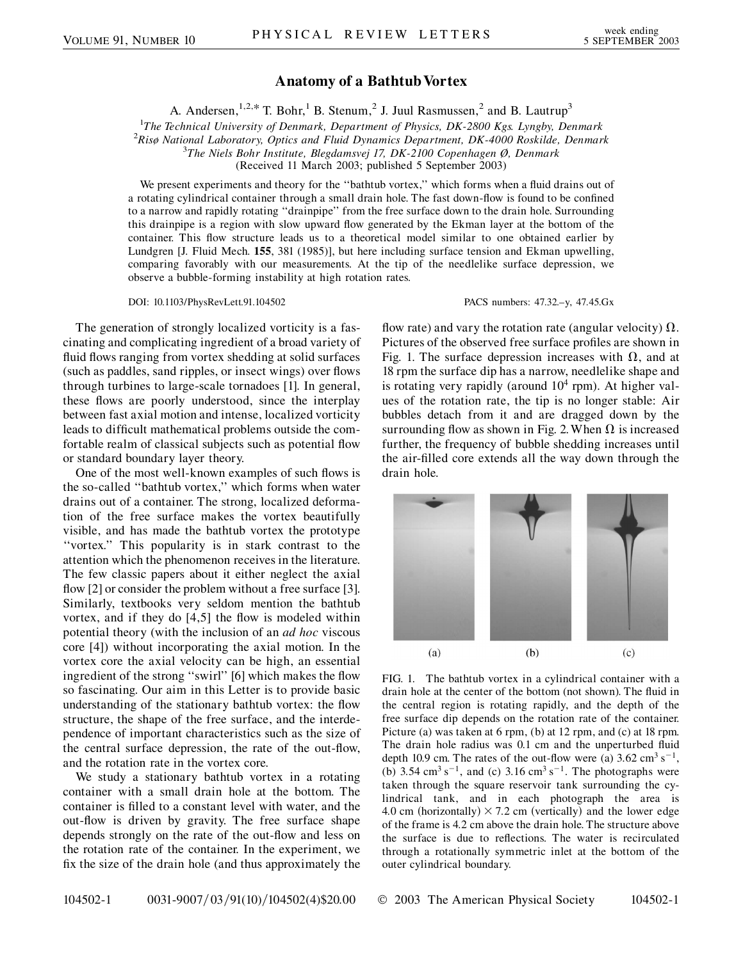## **Anatomy of a Bathtub Vortex**

A. Andersen,  $1,2,*$  T. Bohr, <sup>1</sup> B. Stenum, <sup>2</sup> J. Juul Rasmussen, <sup>2</sup> and B. Lautrup<sup>3</sup>

<sup>1</sup>The Technical University of Denmark, Department of Physics, DK-2800 Kgs. Lyngby, Denmark<sup>2</sup> Rise National Laboratory, Optics and Eluid Dynamics Department, DK 4000 Roskilde, Denmark

*Risø National Laboratory, Optics and Fluid Dynamics Department, DK-4000 Roskilde, Denmark* <sup>3</sup>

*The Niels Bohr Institute, Blegdamsvej 17, DK-2100 Copenhagen Ø, Denmark*

(Received 11 March 2003; published 5 September 2003)

We present experiments and theory for the ''bathtub vortex,'' which forms when a fluid drains out of a rotating cylindrical container through a small drain hole. The fast down-flow is found to be confined to a narrow and rapidly rotating ''drainpipe'' from the free surface down to the drain hole. Surrounding this drainpipe is a region with slow upward flow generated by the Ekman layer at the bottom of the container. This flow structure leads us to a theoretical model similar to one obtained earlier by Lundgren [J. Fluid Mech. **155**, 381 (1985)], but here including surface tension and Ekman upwelling, comparing favorably with our measurements. At the tip of the needlelike surface depression, we observe a bubble-forming instability at high rotation rates.

DOI: 10.1103/PhysRevLett.91.104502 PACS numbers: 47.32.–y, 47.45.Gx

The generation of strongly localized vorticity is a fascinating and complicating ingredient of a broad variety of fluid flows ranging from vortex shedding at solid surfaces (such as paddles, sand ripples, or insect wings) over flows through turbines to large-scale tornadoes [1]. In general, these flows are poorly understood, since the interplay between fast axial motion and intense, localized vorticity leads to difficult mathematical problems outside the comfortable realm of classical subjects such as potential flow or standard boundary layer theory.

One of the most well-known examples of such flows is the so-called ''bathtub vortex,'' which forms when water drains out of a container. The strong, localized deformation of the free surface makes the vortex beautifully visible, and has made the bathtub vortex the prototype ''vortex.'' This popularity is in stark contrast to the attention which the phenomenon receives in the literature. The few classic papers about it either neglect the axial flow [2] or consider the problem without a free surface [3]. Similarly, textbooks very seldom mention the bathtub vortex, and if they do [4,5] the flow is modeled within potential theory (with the inclusion of an *ad hoc* viscous core [4]) without incorporating the axial motion. In the vortex core the axial velocity can be high, an essential ingredient of the strong ''swirl'' [6] which makes the flow so fascinating. Our aim in this Letter is to provide basic understanding of the stationary bathtub vortex: the flow structure, the shape of the free surface, and the interdependence of important characteristics such as the size of the central surface depression, the rate of the out-flow, and the rotation rate in the vortex core.

We study a stationary bathtub vortex in a rotating container with a small drain hole at the bottom. The container is filled to a constant level with water, and the out-flow is driven by gravity. The free surface shape depends strongly on the rate of the out-flow and less on the rotation rate of the container. In the experiment, we fix the size of the drain hole (and thus approximately the

flow rate) and vary the rotation rate (angular velocity)  $\Omega$ . Pictures of the observed free surface profiles are shown in Fig. 1. The surface depression increases with  $\Omega$ , and at 18 rpm the surface dip has a narrow, needlelike shape and is rotating very rapidly (around  $10<sup>4</sup>$  rpm). At higher values of the rotation rate, the tip is no longer stable: Air bubbles detach from it and are dragged down by the surrounding flow as shown in Fig. 2. When  $\Omega$  is increased further, the frequency of bubble shedding increases until the air-filled core extends all the way down through the drain hole.



FIG. 1. The bathtub vortex in a cylindrical container with a drain hole at the center of the bottom (not shown). The fluid in the central region is rotating rapidly, and the depth of the free surface dip depends on the rotation rate of the container. Picture (a) was taken at 6 rpm, (b) at 12 rpm, and (c) at 18 rpm. The drain hole radius was 0.1 cm and the unperturbed fluid depth 10.9 cm. The rates of the out-flow were (a)  $3.62 \text{ cm}^3 \text{ s}^{-1}$ , (b)  $3.54 \text{ cm}^3 \text{ s}^{-1}$ , and (c)  $3.16 \text{ cm}^3 \text{ s}^{-1}$ . The photographs were taken through the square reservoir tank surrounding the cylindrical tank, and in each photograph the area is 4.0 cm (horizontally)  $\times$  7.2 cm (vertically) and the lower edge of the frame is 4.2 cm above the drain hole. The structure above the surface is due to reflections. The water is recirculated through a rotationally symmetric inlet at the bottom of the outer cylindrical boundary.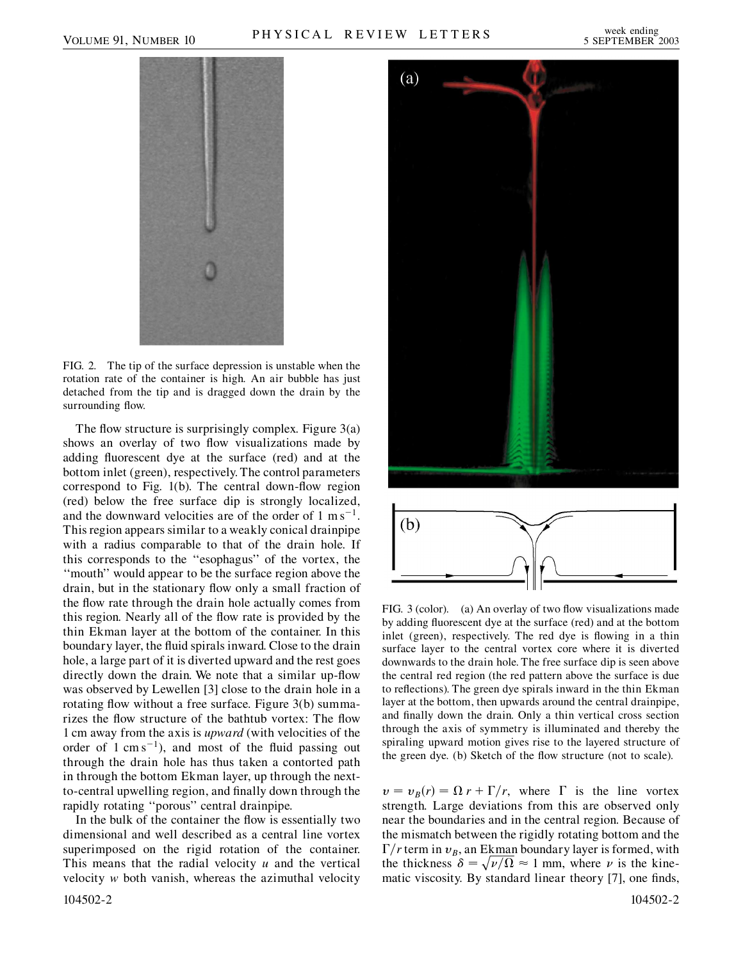

FIG. 2. The tip of the surface depression is unstable when the rotation rate of the container is high. An air bubble has just detached from the tip and is dragged down the drain by the surrounding flow.

The flow structure is surprisingly complex. Figure  $3(a)$ shows an overlay of two flow visualizations made by adding fluorescent dye at the surface (red) and at the bottom inlet (green), respectively. The control parameters correspond to Fig. 1(b). The central down-flow region (red) below the free surface dip is strongly localized, and the downward velocities are of the order of  $1 \text{ ms}^{-1}$ . This region appears similar to a weakly conical drainpipe with a radius comparable to that of the drain hole. If this corresponds to the ''esophagus'' of the vortex, the ''mouth'' would appear to be the surface region above the drain, but in the stationary flow only a small fraction of the flow rate through the drain hole actually comes from this region. Nearly all of the flow rate is provided by the thin Ekman layer at the bottom of the container. In this boundary layer, the fluid spirals inward. Close to the drain hole, a large part of it is diverted upward and the rest goes directly down the drain. We note that a similar up-flow was observed by Lewellen [3] close to the drain hole in a rotating flow without a free surface. Figure 3(b) summarizes the flow structure of the bathtub vortex: The flow 1 cm away from the axis is *upward* (with velocities of the order of  $1 \text{ cm s}^{-1}$ ), and most of the fluid passing out through the drain hole has thus taken a contorted path in through the bottom Ekman layer, up through the nextto-central upwelling region, and finally down through the rapidly rotating ''porous'' central drainpipe.

In the bulk of the container the flow is essentially two dimensional and well described as a central line vortex superimposed on the rigid rotation of the container. This means that the radial velocity *u* and the vertical velocity *w* both vanish, whereas the azimuthal velocity





FIG. 3 (color). (a) An overlay of two flow visualizations made by adding fluorescent dye at the surface (red) and at the bottom inlet (green), respectively. The red dye is flowing in a thin surface layer to the central vortex core where it is diverted downwards to the drain hole. The free surface dip is seen above the central red region (the red pattern above the surface is due to reflections). The green dye spirals inward in the thin Ekman layer at the bottom, then upwards around the central drainpipe, and finally down the drain. Only a thin vertical cross section through the axis of symmetry is illuminated and thereby the spiraling upward motion gives rise to the layered structure of the green dye. (b) Sketch of the flow structure (not to scale).

 $v = v_B(r) = \Omega r + \Gamma/r$ , where  $\Gamma$  is the line vortex strength. Large deviations from this are observed only near the boundaries and in the central region. Because of the mismatch between the rigidly rotating bottom and the  $\Gamma/r$  term in  $v_B$ , an Ekman boundary layer is formed, with the thickness  $\delta = \sqrt{\nu/\Omega} \approx 1$  mm, where  $\nu$  is the kinematic viscosity. By standard linear theory [7], one finds,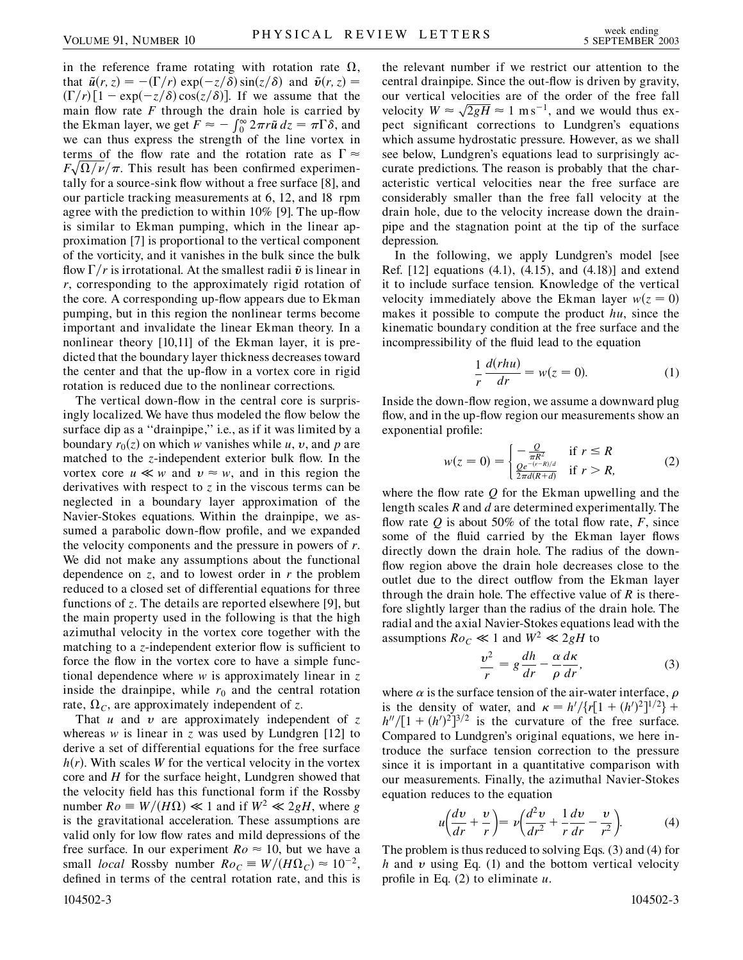in the reference frame rotating with rotation rate  $\Omega$ , that  $\tilde{u}(r, z) = -(\Gamma/r) \exp(-z/\delta) \sin(z/\delta)$  and  $\tilde{v}(r, z) =$  $(\Gamma/r)[1 - \exp(-z/\delta)\cos(z/\delta)]$ . If we assume that the main flow rate  $F$  through the drain hole is carried by the Ekman layer, we get  $F \approx -\int_{0}^{\infty} 2\pi r \tilde{u} dz = \pi \Gamma \delta$ , and we can thus express the strength of the line vortex in terms of the flow rate and the rotation rate as  $\Gamma \approx$  $F\sqrt{\Omega/\nu}/\pi$ . This result has been confirmed experimentally for a source-sink flow without a free surface [8], and our particle tracking measurements at 6, 12, and 18 rpm agree with the prediction to within 10% [9]. The up-flow is similar to Ekman pumping, which in the linear approximation [7] is proportional to the vertical component of the vorticity, and it vanishes in the bulk since the bulk flow  $\Gamma/r$  is irrotational. At the smallest radii  $\tilde{v}$  is linear in *r*, corresponding to the approximately rigid rotation of the core. A corresponding up-flow appears due to Ekman pumping, but in this region the nonlinear terms become important and invalidate the linear Ekman theory. In a nonlinear theory [10,11] of the Ekman layer, it is predicted that the boundary layer thickness decreases toward the center and that the up-flow in a vortex core in rigid rotation is reduced due to the nonlinear corrections.

The vertical down-flow in the central core is surprisingly localized. We have thus modeled the flow below the surface dip as a "drainpipe," i.e., as if it was limited by a boundary  $r_0(z)$  on which *w* vanishes while *u*, *v*, and *p* are matched to the *z*-independent exterior bulk flow. In the vortex core  $u \ll w$  and  $v \approx w$ , and in this region the derivatives with respect to  $\zeta$  in the viscous terms can be neglected in a boundary layer approximation of the Navier-Stokes equations. Within the drainpipe, we assumed a parabolic down-flow profile, and we expanded the velocity components and the pressure in powers of *r*. We did not make any assumptions about the functional dependence on *z*, and to lowest order in *r* the problem reduced to a closed set of differential equations for three functions of *z*. The details are reported elsewhere [9], but the main property used in the following is that the high azimuthal velocity in the vortex core together with the matching to a *z*-independent exterior flow is sufficient to force the flow in the vortex core to have a simple functional dependence where *w* is approximately linear in *z* inside the drainpipe, while  $r_0$  and the central rotation rate,  $\Omega_c$ , are approximately independent of *z*.

That *u* and *v* are approximately independent of *z* whereas *w* is linear in *z* was used by Lundgren [12] to derive a set of differential equations for the free surface  $h(r)$ . With scales *W* for the vertical velocity in the vortex core and *H* for the surface height, Lundgren showed that the velocity field has this functional form if the Rossby number  $Ro \equiv W/(H\Omega) \ll 1$  and if  $W^2 \ll 2gH$ , where *g* is the gravitational acceleration. These assumptions are valid only for low flow rates and mild depressions of the free surface. In our experiment  $Ro \approx 10$ , but we have a small *local* Rossby number  $Ro_C \equiv W/(H\Omega_C) \approx 10^{-2}$ , defined in terms of the central rotation rate, and this is 104502-3 104502-3

the relevant number if we restrict our attention to the central drainpipe. Since the out-flow is driven by gravity, our vertical velocities are of the order of the free fall our vertical velocities are or the order or the free rail<br>velocity  $W \approx \sqrt{2gH} \approx 1 \text{ m s}^{-1}$ , and we would thus expect significant corrections to Lundgren's equations which assume hydrostatic pressure. However, as we shall see below, Lundgren's equations lead to surprisingly accurate predictions. The reason is probably that the characteristic vertical velocities near the free surface are considerably smaller than the free fall velocity at the drain hole, due to the velocity increase down the drainpipe and the stagnation point at the tip of the surface depression.

In the following, we apply Lundgren's model [see Ref. [12] equations (4.1), (4.15), and (4.18)] and extend it to include surface tension. Knowledge of the vertical velocity immediately above the Ekman layer  $w(z = 0)$ makes it possible to compute the product *hu*, since the kinematic boundary condition at the free surface and the incompressibility of the fluid lead to the equation

$$
\frac{1}{r}\frac{d(rhu)}{dr} = w(z=0).
$$
 (1)

Inside the down-flow region, we assume a downward plug flow, and in the up-flow region our measurements show an exponential profile:

$$
w(z=0) = \begin{cases} -\frac{Q}{\pi R^2} & \text{if } r \le R\\ \frac{Qe^{-(r-R)/d}}{2\pi d(R+d)} & \text{if } r > R, \end{cases}
$$
 (2)

where the flow rate *Q* for the Ekman upwelling and the length scales *R* and *d* are determined experimentally. The flow rate  $Q$  is about 50% of the total flow rate,  $F$ , since some of the fluid carried by the Ekman layer flows directly down the drain hole. The radius of the downflow region above the drain hole decreases close to the outlet due to the direct outflow from the Ekman layer through the drain hole. The effective value of *R* is therefore slightly larger than the radius of the drain hole. The radial and the axial Navier-Stokes equations lead with the assumptions  $Ro<sub>C</sub> \ll 1$  and  $W<sup>2</sup> \ll 2gH$  to

$$
\frac{v^2}{r} = g\frac{dh}{dr} - \frac{\alpha}{\rho}\frac{d\kappa}{dr},\tag{3}
$$

where  $\alpha$  is the surface tension of the air-water interface,  $\rho$ is the density of water, and  $\kappa = h'/\{r[1 + (h')^2]^{1/2}\} +$  $h''/[1 + (h')^2]^{3/2}$  is the curvature of the free surface. Compared to Lundgren's original equations, we here introduce the surface tension correction to the pressure since it is important in a quantitative comparison with our measurements. Finally, the azimuthal Navier-Stokes equation reduces to the equation

$$
u\left(\frac{dv}{dr} + \frac{v}{r}\right) = v\left(\frac{d^2v}{dr^2} + \frac{1}{r}\frac{dv}{dr} - \frac{v}{r^2}\right).
$$
 (4)

The problem is thus reduced to solving Eqs. (3) and (4) for  $h$  and  $v$  using Eq. (1) and the bottom vertical velocity profile in Eq. (2) to eliminate *u*.